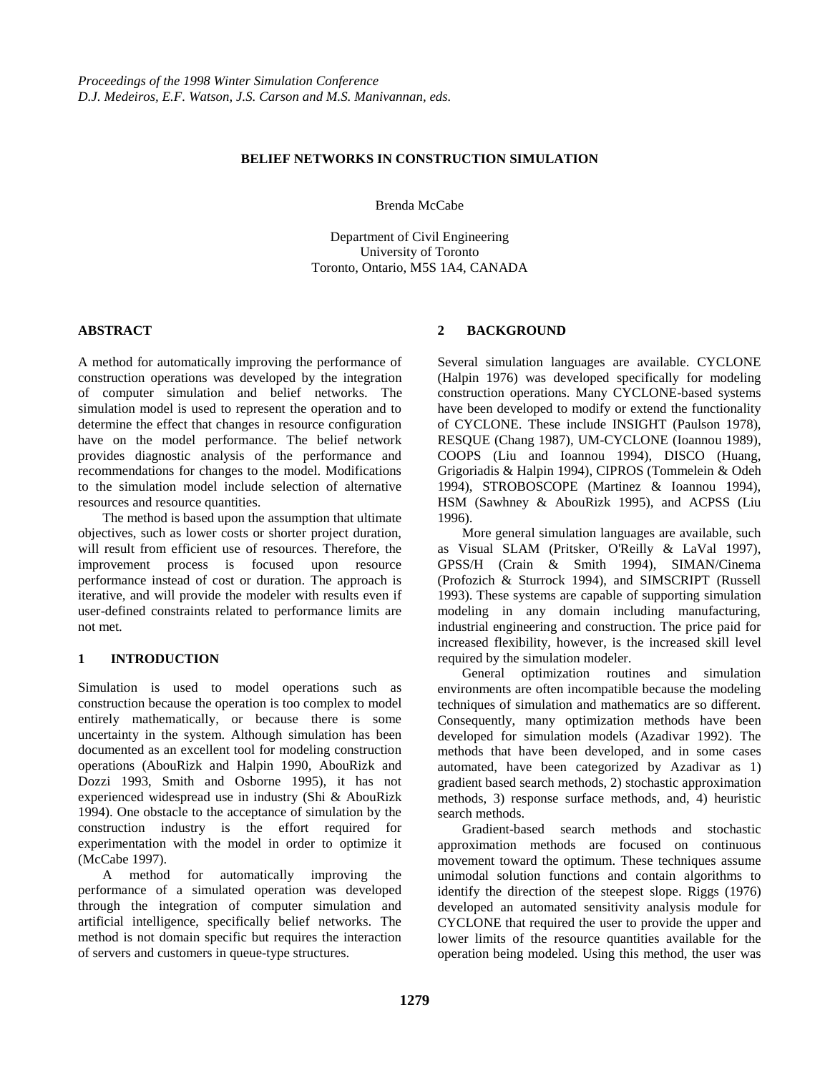# **BELIEF NETWORKS IN CONSTRUCTION SIMULATION**

Brenda McCabe

Department of Civil Engineering University of Toronto Toronto, Ontario, M5S 1A4, CANADA

#### **ABSTRACT**

A method for automatically improving the performance of construction operations was developed by the integration of computer simulation and belief networks. The simulation model is used to represent the operation and to determine the effect that changes in resource configuration have on the model performance. The belief network provides diagnostic analysis of the performance and recommendations for changes to the model. Modifications to the simulation model include selection of alternative resources and resource quantities.

The method is based upon the assumption that ultimate objectives, such as lower costs or shorter project duration, will result from efficient use of resources. Therefore, the improvement process is focused upon resource performance instead of cost or duration. The approach is iterative, and will provide the modeler with results even if user-defined constraints related to performance limits are not met.

# **1 INTRODUCTION**

Simulation is used to model operations such as construction because the operation is too complex to model entirely mathematically, or because there is some uncertainty in the system. Although simulation has been documented as an excellent tool for modeling construction operations (AbouRizk and Halpin 1990, AbouRizk and Dozzi 1993, Smith and Osborne 1995), it has not experienced widespread use in industry (Shi & AbouRizk 1994). One obstacle to the acceptance of simulation by the construction industry is the effort required for experimentation with the model in order to optimize it (McCabe 1997).

A method for automatically improving the performance of a simulated operation was developed through the integration of computer simulation and artificial intelligence, specifically belief networks. The method is not domain specific but requires the interaction of servers and customers in queue-type structures.

# **2 BACKGROUND**

Several simulation languages are available. CYCLONE (Halpin 1976) was developed specifically for modeling construction operations. Many CYCLONE-based systems have been developed to modify or extend the functionality of CYCLONE. These include INSIGHT (Paulson 1978), RESQUE (Chang 1987), UM-CYCLONE (Ioannou 1989), COOPS (Liu and Ioannou 1994), DISCO (Huang, Grigoriadis & Halpin 1994), CIPROS (Tommelein & Odeh 1994), STROBOSCOPE (Martinez & Ioannou 1994), HSM (Sawhney & AbouRizk 1995), and ACPSS (Liu 1996).

More general simulation languages are available, such as Visual SLAM (Pritsker, O'Reilly & LaVal 1997), GPSS/H (Crain & Smith 1994), SIMAN/Cinema (Profozich & Sturrock 1994), and SIMSCRIPT (Russell 1993). These systems are capable of supporting simulation modeling in any domain including manufacturing, industrial engineering and construction. The price paid for increased flexibility, however, is the increased skill level required by the simulation modeler.

General optimization routines and simulation environments are often incompatible because the modeling techniques of simulation and mathematics are so different. Consequently, many optimization methods have been developed for simulation models (Azadivar 1992). The methods that have been developed, and in some cases automated, have been categorized by Azadivar as 1) gradient based search methods, 2) stochastic approximation methods, 3) response surface methods, and, 4) heuristic search methods.

Gradient-based search methods and stochastic approximation methods are focused on continuous movement toward the optimum. These techniques assume unimodal solution functions and contain algorithms to identify the direction of the steepest slope. Riggs (1976) developed an automated sensitivity analysis module for CYCLONE that required the user to provide the upper and lower limits of the resource quantities available for the operation being modeled. Using this method, the user was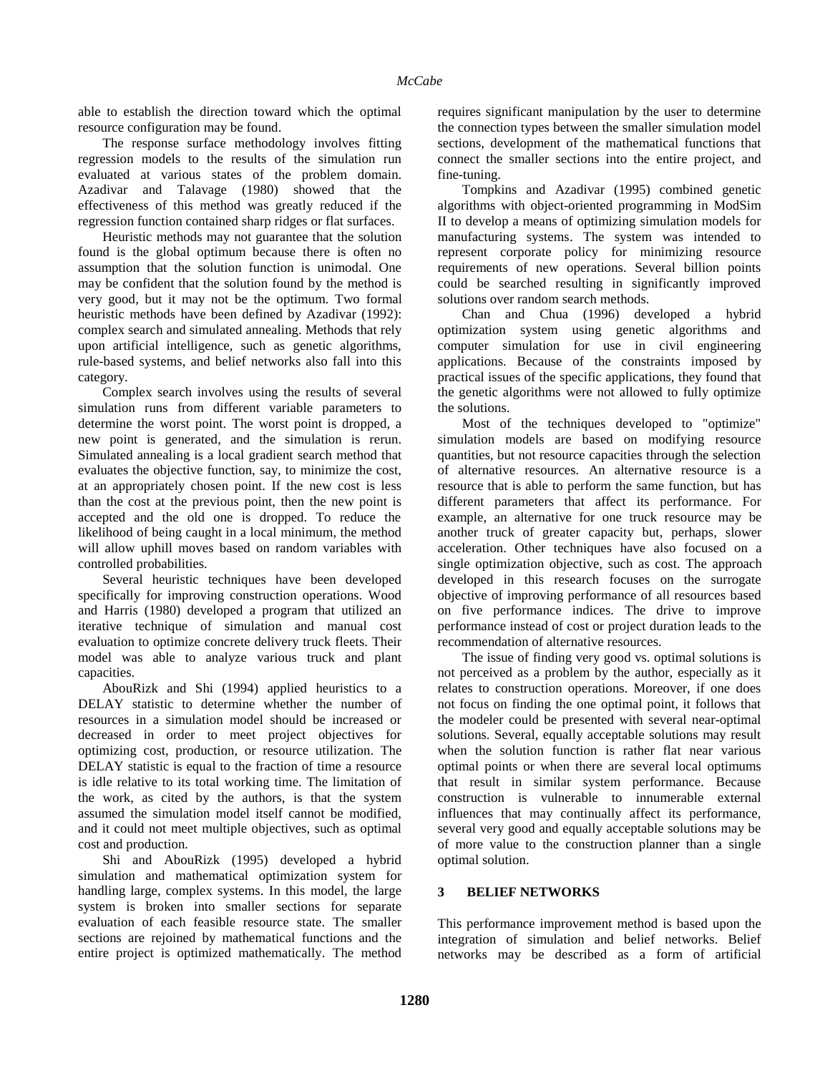able to establish the direction toward which the optimal resource configuration may be found.

The response surface methodology involves fitting regression models to the results of the simulation run evaluated at various states of the problem domain. Azadivar and Talavage (1980) showed that the effectiveness of this method was greatly reduced if the regression function contained sharp ridges or flat surfaces.

Heuristic methods may not guarantee that the solution found is the global optimum because there is often no assumption that the solution function is unimodal. One may be confident that the solution found by the method is very good, but it may not be the optimum. Two formal heuristic methods have been defined by Azadivar (1992): complex search and simulated annealing. Methods that rely upon artificial intelligence, such as genetic algorithms, rule-based systems, and belief networks also fall into this category.

Complex search involves using the results of several simulation runs from different variable parameters to determine the worst point. The worst point is dropped, a new point is generated, and the simulation is rerun. Simulated annealing is a local gradient search method that evaluates the objective function, say, to minimize the cost, at an appropriately chosen point. If the new cost is less than the cost at the previous point, then the new point is accepted and the old one is dropped. To reduce the likelihood of being caught in a local minimum, the method will allow uphill moves based on random variables with controlled probabilities.

Several heuristic techniques have been developed specifically for improving construction operations. Wood and Harris (1980) developed a program that utilized an iterative technique of simulation and manual cost evaluation to optimize concrete delivery truck fleets. Their model was able to analyze various truck and plant capacities.

AbouRizk and Shi (1994) applied heuristics to a DELAY statistic to determine whether the number of resources in a simulation model should be increased or decreased in order to meet project objectives for optimizing cost, production, or resource utilization. The DELAY statistic is equal to the fraction of time a resource is idle relative to its total working time. The limitation of the work, as cited by the authors, is that the system assumed the simulation model itself cannot be modified, and it could not meet multiple objectives, such as optimal cost and production.

Shi and AbouRizk (1995) developed a hybrid simulation and mathematical optimization system for handling large, complex systems. In this model, the large system is broken into smaller sections for separate evaluation of each feasible resource state. The smaller sections are rejoined by mathematical functions and the entire project is optimized mathematically. The method requires significant manipulation by the user to determine the connection types between the smaller simulation model sections, development of the mathematical functions that connect the smaller sections into the entire project, and fine-tuning.

Tompkins and Azadivar (1995) combined genetic algorithms with object-oriented programming in ModSim II to develop a means of optimizing simulation models for manufacturing systems. The system was intended to represent corporate policy for minimizing resource requirements of new operations. Several billion points could be searched resulting in significantly improved solutions over random search methods.

Chan and Chua (1996) developed a hybrid optimization system using genetic algorithms and computer simulation for use in civil engineering applications. Because of the constraints imposed by practical issues of the specific applications, they found that the genetic algorithms were not allowed to fully optimize the solutions.

Most of the techniques developed to "optimize" simulation models are based on modifying resource quantities, but not resource capacities through the selection of alternative resources. An alternative resource is a resource that is able to perform the same function, but has different parameters that affect its performance. For example, an alternative for one truck resource may be another truck of greater capacity but, perhaps, slower acceleration. Other techniques have also focused on a single optimization objective, such as cost. The approach developed in this research focuses on the surrogate objective of improving performance of all resources based on five performance indices. The drive to improve performance instead of cost or project duration leads to the recommendation of alternative resources.

The issue of finding very good vs. optimal solutions is not perceived as a problem by the author, especially as it relates to construction operations. Moreover, if one does not focus on finding the one optimal point, it follows that the modeler could be presented with several near-optimal solutions. Several, equally acceptable solutions may result when the solution function is rather flat near various optimal points or when there are several local optimums that result in similar system performance. Because construction is vulnerable to innumerable external influences that may continually affect its performance, several very good and equally acceptable solutions may be of more value to the construction planner than a single optimal solution.

# **3 BELIEF NETWORKS**

This performance improvement method is based upon the integration of simulation and belief networks. Belief networks may be described as a form of artificial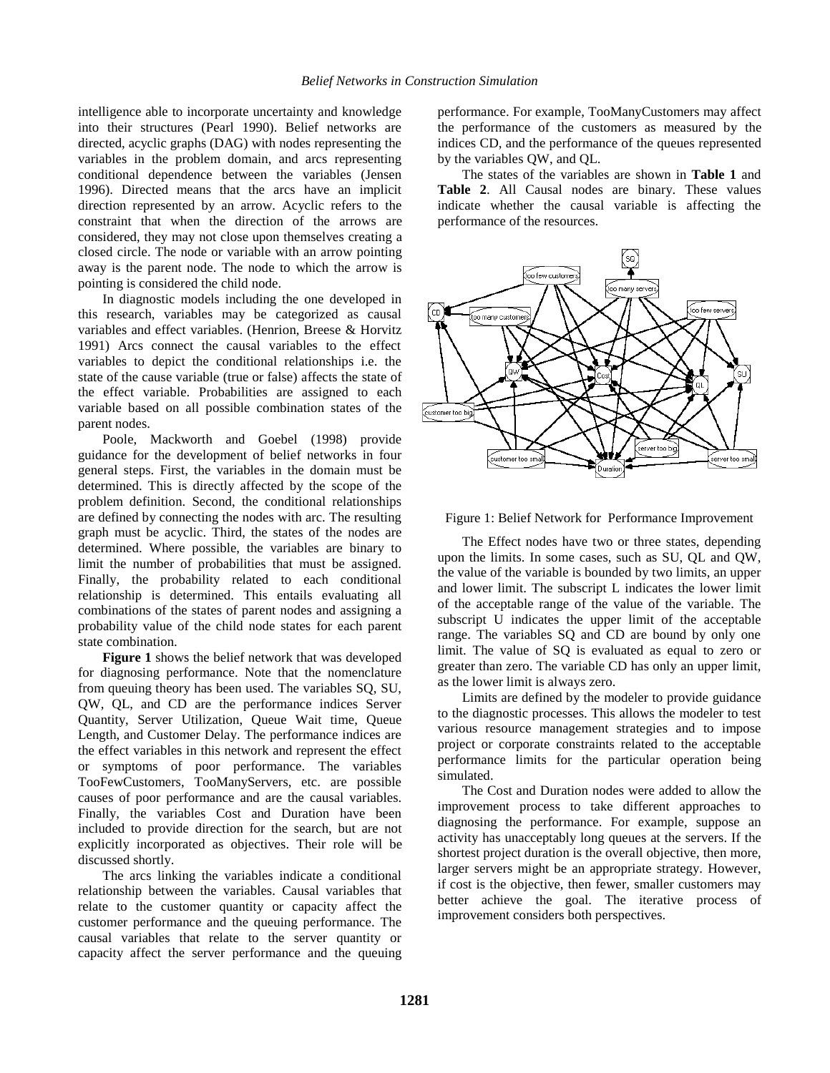intelligence able to incorporate uncertainty and knowledge into their structures (Pearl 1990). Belief networks are directed, acyclic graphs (DAG) with nodes representing the variables in the problem domain, and arcs representing conditional dependence between the variables (Jensen 1996). Directed means that the arcs have an implicit direction represented by an arrow. Acyclic refers to the constraint that when the direction of the arrows are considered, they may not close upon themselves creating a closed circle. The node or variable with an arrow pointing away is the parent node. The node to which the arrow is pointing is considered the child node.

In diagnostic models including the one developed in this research, variables may be categorized as causal variables and effect variables. (Henrion, Breese & Horvitz 1991) Arcs connect the causal variables to the effect variables to depict the conditional relationships i.e. the state of the cause variable (true or false) affects the state of the effect variable. Probabilities are assigned to each variable based on all possible combination states of the parent nodes.

Poole, Mackworth and Goebel (1998) provide guidance for the development of belief networks in four general steps. First, the variables in the domain must be determined. This is directly affected by the scope of the problem definition. Second, the conditional relationships are defined by connecting the nodes with arc. The resulting graph must be acyclic. Third, the states of the nodes are determined. Where possible, the variables are binary to limit the number of probabilities that must be assigned. Finally, the probability related to each conditional relationship is determined. This entails evaluating all combinations of the states of parent nodes and assigning a probability value of the child node states for each parent state combination.

**Figure 1** shows the belief network that was developed for diagnosing performance. Note that the nomenclature from queuing theory has been used. The variables SQ, SU, QW, QL, and CD are the performance indices Server Quantity, Server Utilization, Queue Wait time, Queue Length, and Customer Delay. The performance indices are the effect variables in this network and represent the effect or symptoms of poor performance. The variables TooFewCustomers, TooManyServers, etc. are possible causes of poor performance and are the causal variables. Finally, the variables Cost and Duration have been included to provide direction for the search, but are not explicitly incorporated as objectives. Their role will be discussed shortly.

The arcs linking the variables indicate a conditional relationship between the variables. Causal variables that relate to the customer quantity or capacity affect the customer performance and the queuing performance. The causal variables that relate to the server quantity or capacity affect the server performance and the queuing performance. For example, TooManyCustomers may affect the performance of the customers as measured by the indices CD, and the performance of the queues represented by the variables QW, and QL.

The states of the variables are shown in **Table 1** and **Table 2**. All Causal nodes are binary. These values indicate whether the causal variable is affecting the performance of the resources.



Figure 1: Belief Network for Performance Improvement

The Effect nodes have two or three states, depending upon the limits. In some cases, such as SU, QL and QW, the value of the variable is bounded by two limits, an upper and lower limit. The subscript L indicates the lower limit of the acceptable range of the value of the variable. The subscript U indicates the upper limit of the acceptable range. The variables SQ and CD are bound by only one limit. The value of SQ is evaluated as equal to zero or greater than zero. The variable CD has only an upper limit, as the lower limit is always zero.

Limits are defined by the modeler to provide guidance to the diagnostic processes. This allows the modeler to test various resource management strategies and to impose project or corporate constraints related to the acceptable performance limits for the particular operation being simulated.

The Cost and Duration nodes were added to allow the improvement process to take different approaches to diagnosing the performance. For example, suppose an activity has unacceptably long queues at the servers. If the shortest project duration is the overall objective, then more, larger servers might be an appropriate strategy. However, if cost is the objective, then fewer, smaller customers may better achieve the goal. The iterative process of improvement considers both perspectives.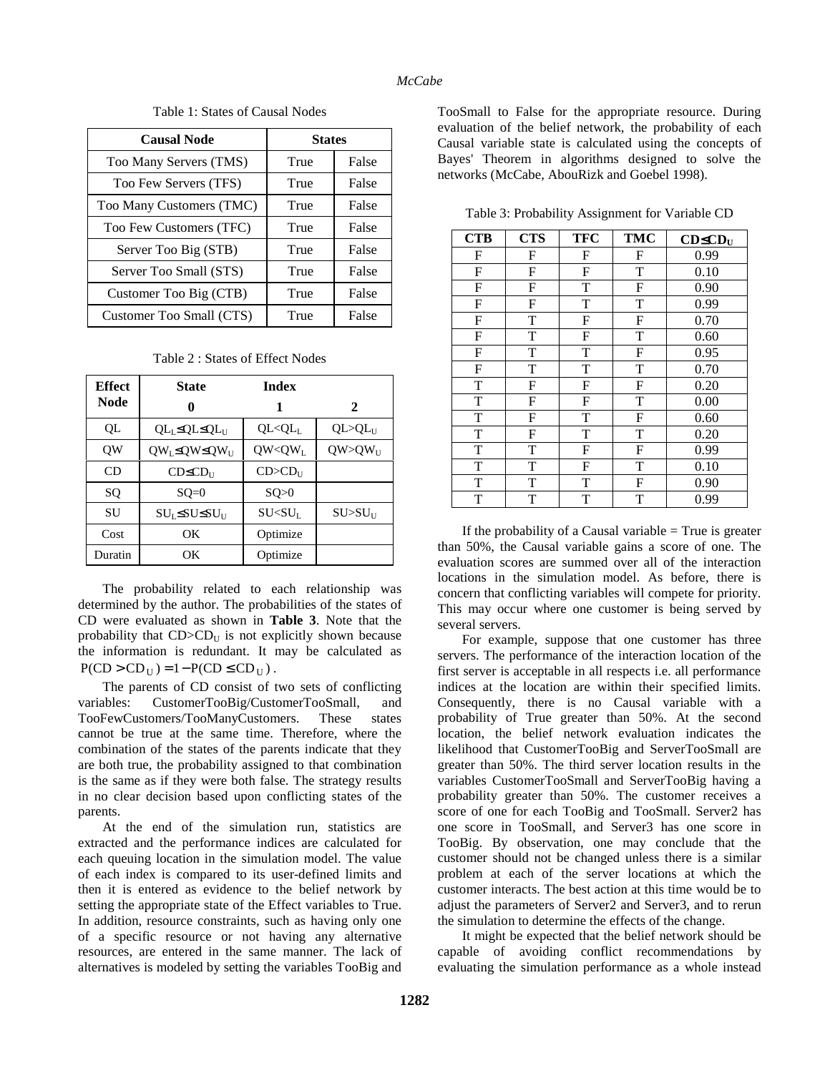| <b>Causal Node</b>       | <b>States</b> |       |
|--------------------------|---------------|-------|
| Too Many Servers (TMS)   | True          | False |
| Too Few Servers (TFS)    | True          | False |
| Too Many Customers (TMC) | True          | False |
| Too Few Customers (TFC)  | True          | False |
| Server Too Big (STB)     | True          | False |
| Server Too Small (STS)   | True          | False |
| Customer Too Big (CTB)   | True          | False |
| Customer Too Small (CTS) | True          | False |

Table 1: States of Causal Nodes

| Table 2 : States of Effect Nodes |
|----------------------------------|
|----------------------------------|

| <b>Effect</b> | <b>State</b>                  | Index                 |                |
|---------------|-------------------------------|-----------------------|----------------|
| Node          | 0                             | 1                     | 2              |
| QL            | $QL_1 \leq QL \leq QL_{11}$   | QL < QL               |                |
| QW            | $QW_I \leq QW \leq QW_{II}$   | $QW < QW_L$           | $QW > QW_U$    |
| CD            | $CD \le CD_{II}$              | CD > CD <sub>II</sub> |                |
| SQ            | $SO=0$                        | SO>0                  |                |
| <b>SU</b>     | $SU_{I} \leq SU \leq SU_{II}$ | SU < S U <sub>L</sub> | $SU > SU_{11}$ |
| Cost          | OK                            | Optimize              |                |
| Duratin       | OК                            | Optimize              |                |

The probability related to each relationship was determined by the author. The probabilities of the states of CD were evaluated as shown in **Table 3**. Note that the probability that  $CD > CD_U$  is not explicitly shown because the information is redundant. It may be calculated as  $P(CD > CD<sub>U</sub>) = 1 - P(CD \le CD<sub>U</sub>)$ .

The parents of CD consist of two sets of conflicting variables: CustomerTooBig/CustomerTooSmall, and TooFewCustomers/TooManyCustomers. These states cannot be true at the same time. Therefore, where the combination of the states of the parents indicate that they are both true, the probability assigned to that combination is the same as if they were both false. The strategy results in no clear decision based upon conflicting states of the parents.

At the end of the simulation run, statistics are extracted and the performance indices are calculated for each queuing location in the simulation model. The value of each index is compared to its user-defined limits and then it is entered as evidence to the belief network by setting the appropriate state of the Effect variables to True. In addition, resource constraints, such as having only one of a specific resource or not having any alternative resources, are entered in the same manner. The lack of alternatives is modeled by setting the variables TooBig and TooSmall to False for the appropriate resource. During evaluation of the belief network, the probability of each Causal variable state is calculated using the concepts of Bayes' Theorem in algorithms designed to solve the networks (McCabe, AbouRizk and Goebel 1998).

Table 3: Probability Assignment for Variable CD

| <b>CTB</b>     | <b>CTS</b> | <b>TFC</b>  | <b>TMC</b>                | $CD \le CD$ |
|----------------|------------|-------------|---------------------------|-------------|
| F              | F          | F           | F                         | 0.99        |
| F              | F          | F           | T                         | 0.10        |
| F              | F          | T           | $\mathbf F$               | 0.90        |
| F              | F          | T           | T                         | 0.99        |
| F              | T          | $\mathbf F$ | ${\bf F}$                 | 0.70        |
| F              | T          | F           | T                         | 0.60        |
| F              | T          | T           | $\boldsymbol{\mathrm{F}}$ | 0.95        |
| F              | T          | T           | T                         | 0.70        |
| T              | F          | F           | $\mathbf F$               | 0.20        |
| T              | F          | F           | T                         | 0.00        |
| $\overline{T}$ | F          | T           | F                         | 0.60        |
| T              | F          | T           | T                         | 0.20        |
| T              | T          | F           | $\mathbf{F}$              | 0.99        |
| T              | T          | F           | T                         | 0.10        |
| T              | T          | T           | $\mathbf F$               | 0.90        |
| T              | T          | T           | T                         | 0.99        |

If the probability of a Causal variable  $=$  True is greater than 50%, the Causal variable gains a score of one. The evaluation scores are summed over all of the interaction locations in the simulation model. As before, there is concern that conflicting variables will compete for priority. This may occur where one customer is being served by several servers.

For example, suppose that one customer has three servers. The performance of the interaction location of the first server is acceptable in all respects i.e. all performance indices at the location are within their specified limits. Consequently, there is no Causal variable with a probability of True greater than 50%. At the second location, the belief network evaluation indicates the likelihood that CustomerTooBig and ServerTooSmall are greater than 50%. The third server location results in the variables CustomerTooSmall and ServerTooBig having a probability greater than 50%. The customer receives a score of one for each TooBig and TooSmall. Server2 has one score in TooSmall, and Server3 has one score in TooBig. By observation, one may conclude that the customer should not be changed unless there is a similar problem at each of the server locations at which the customer interacts. The best action at this time would be to adjust the parameters of Server2 and Server3, and to rerun the simulation to determine the effects of the change.

It might be expected that the belief network should be capable of avoiding conflict recommendations by evaluating the simulation performance as a whole instead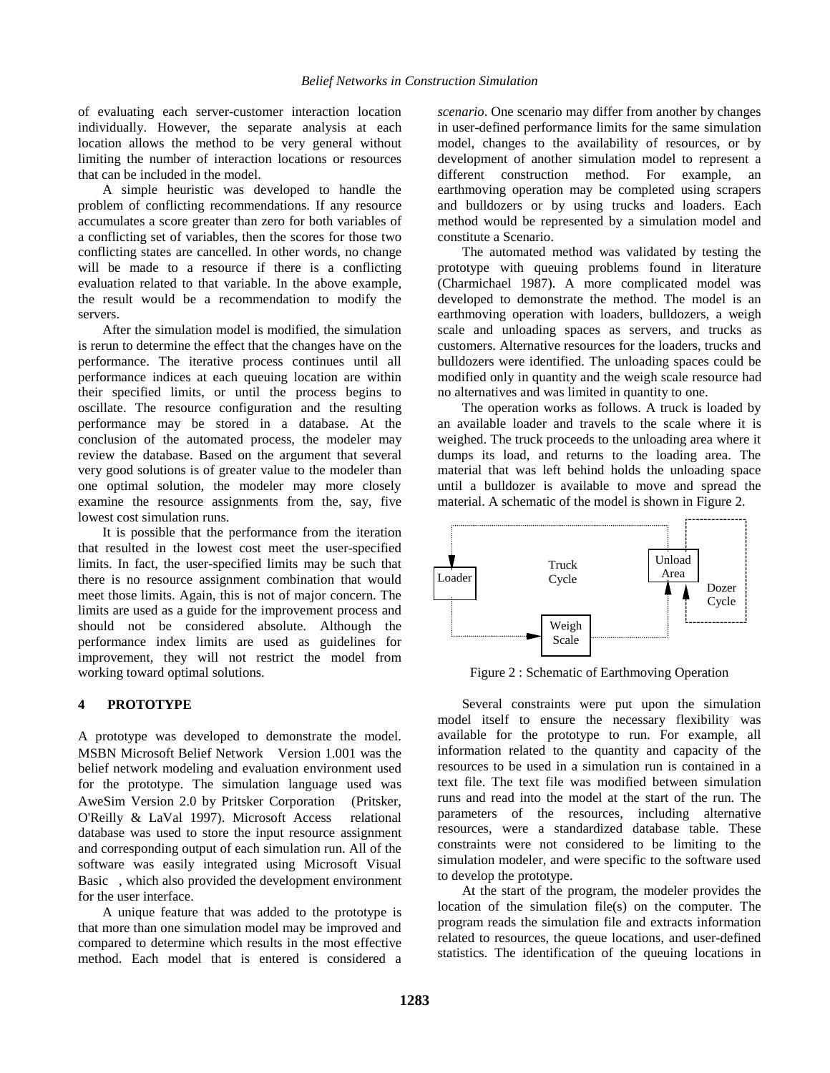of evaluating each server-customer interaction location individually. However, the separate analysis at each location allows the method to be very general without limiting the number of interaction locations or resources that can be included in the model.

A simple heuristic was developed to handle the problem of conflicting recommendations. If any resource accumulates a score greater than zero for both variables of a conflicting set of variables, then the scores for those two conflicting states are cancelled. In other words, no change will be made to a resource if there is a conflicting evaluation related to that variable. In the above example, the result would be a recommendation to modify the servers.

After the simulation model is modified, the simulation is rerun to determine the effect that the changes have on the performance. The iterative process continues until all performance indices at each queuing location are within their specified limits, or until the process begins to oscillate. The resource configuration and the resulting performance may be stored in a database. At the conclusion of the automated process, the modeler may review the database. Based on the argument that several very good solutions is of greater value to the modeler than one optimal solution, the modeler may more closely examine the resource assignments from the, say, five lowest cost simulation runs.

It is possible that the performance from the iteration that resulted in the lowest cost meet the user-specified limits. In fact, the user-specified limits may be such that there is no resource assignment combination that would meet those limits. Again, this is not of major concern. The limits are used as a guide for the improvement process and should not be considered absolute. Although the performance index limits are used as guidelines for improvement, they will not restrict the model from working toward optimal solutions.

# **4 PROTOTYPE**

A prototype was developed to demonstrate the model. MSBN Microsoft Belief Network© Version 1.001 was the belief network modeling and evaluation environment used for the prototype. The simulation language used was AweSim Version 2.0 by Pritsker Corporation© (Pritsker, O'Reilly & LaVal 1997). Microsoft Access© relational database was used to store the input resource assignment and corresponding output of each simulation run. All of the software was easily integrated using Microsoft Visual Basic©, which also provided the development environment for the user interface.

A unique feature that was added to the prototype is that more than one simulation model may be improved and compared to determine which results in the most effective method. Each model that is entered is considered a *scenario*. One scenario may differ from another by changes in user-defined performance limits for the same simulation model, changes to the availability of resources, or by development of another simulation model to represent a different construction method. For example, an earthmoving operation may be completed using scrapers and bulldozers or by using trucks and loaders. Each method would be represented by a simulation model and constitute a Scenario.

The automated method was validated by testing the prototype with queuing problems found in literature (Charmichael 1987). A more complicated model was developed to demonstrate the method. The model is an earthmoving operation with loaders, bulldozers, a weigh scale and unloading spaces as servers, and trucks as customers. Alternative resources for the loaders, trucks and bulldozers were identified. The unloading spaces could be modified only in quantity and the weigh scale resource had no alternatives and was limited in quantity to one.

The operation works as follows. A truck is loaded by an available loader and travels to the scale where it is weighed. The truck proceeds to the unloading area where it dumps its load, and returns to the loading area. The material that was left behind holds the unloading space until a bulldozer is available to move and spread the material. A schematic of the model is shown in Figure 2.



Figure 2 : Schematic of Earthmoving Operation

Several constraints were put upon the simulation model itself to ensure the necessary flexibility was available for the prototype to run. For example, all information related to the quantity and capacity of the resources to be used in a simulation run is contained in a text file. The text file was modified between simulation runs and read into the model at the start of the run. The parameters of the resources, including alternative resources, were a standardized database table. These constraints were not considered to be limiting to the simulation modeler, and were specific to the software used to develop the prototype.

At the start of the program, the modeler provides the location of the simulation file(s) on the computer. The program reads the simulation file and extracts information related to resources, the queue locations, and user-defined statistics. The identification of the queuing locations in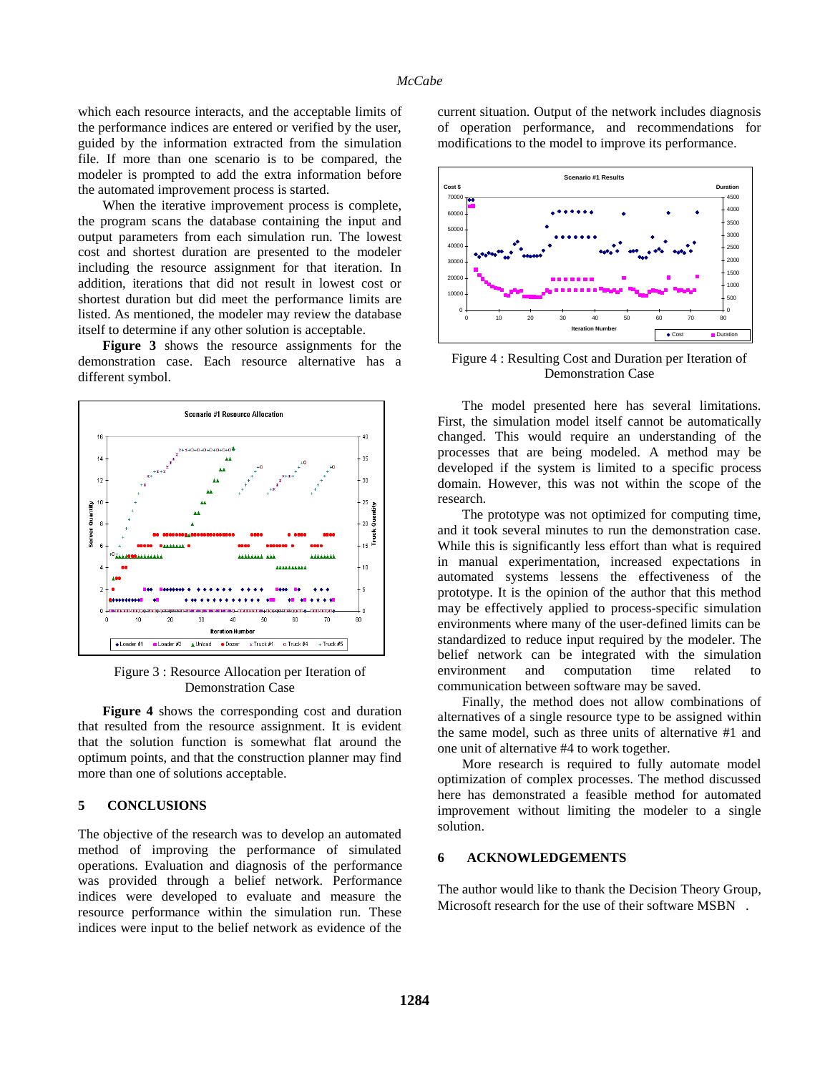which each resource interacts, and the acceptable limits of the performance indices are entered or verified by the user, guided by the information extracted from the simulation file. If more than one scenario is to be compared, the modeler is prompted to add the extra information before the automated improvement process is started.

When the iterative improvement process is complete, the program scans the database containing the input and output parameters from each simulation run. The lowest cost and shortest duration are presented to the modeler including the resource assignment for that iteration. In addition, iterations that did not result in lowest cost or shortest duration but did meet the performance limits are listed. As mentioned, the modeler may review the database itself to determine if any other solution is acceptable.

**Figure 3** shows the resource assignments for the demonstration case. Each resource alternative has a different symbol.



Figure 3 : Resource Allocation per Iteration of Demonstration Case

**Figure 4** shows the corresponding cost and duration that resulted from the resource assignment. It is evident that the solution function is somewhat flat around the optimum points, and that the construction planner may find more than one of solutions acceptable.

# **5 CONCLUSIONS**

The objective of the research was to develop an automated method of improving the performance of simulated operations. Evaluation and diagnosis of the performance was provided through a belief network. Performance indices were developed to evaluate and measure the resource performance within the simulation run. These indices were input to the belief network as evidence of the current situation. Output of the network includes diagnosis of operation performance, and recommendations for modifications to the model to improve its performance.



Figure 4 : Resulting Cost and Duration per Iteration of Demonstration Case

The model presented here has several limitations. First, the simulation model itself cannot be automatically changed. This would require an understanding of the processes that are being modeled. A method may be developed if the system is limited to a specific process domain. However, this was not within the scope of the research.

The prototype was not optimized for computing time, and it took several minutes to run the demonstration case. While this is significantly less effort than what is required in manual experimentation, increased expectations in automated systems lessens the effectiveness of the prototype. It is the opinion of the author that this method may be effectively applied to process-specific simulation environments where many of the user-defined limits can be standardized to reduce input required by the modeler. The belief network can be integrated with the simulation environment and computation time related to communication between software may be saved.

Finally, the method does not allow combinations of alternatives of a single resource type to be assigned within the same model, such as three units of alternative #1 and one unit of alternative #4 to work together.

More research is required to fully automate model optimization of complex processes. The method discussed here has demonstrated a feasible method for automated improvement without limiting the modeler to a single solution.

#### **6 ACKNOWLEDGEMENTS**

The author would like to thank the Decision Theory Group, Microsoft research for the use of their software MSBN©.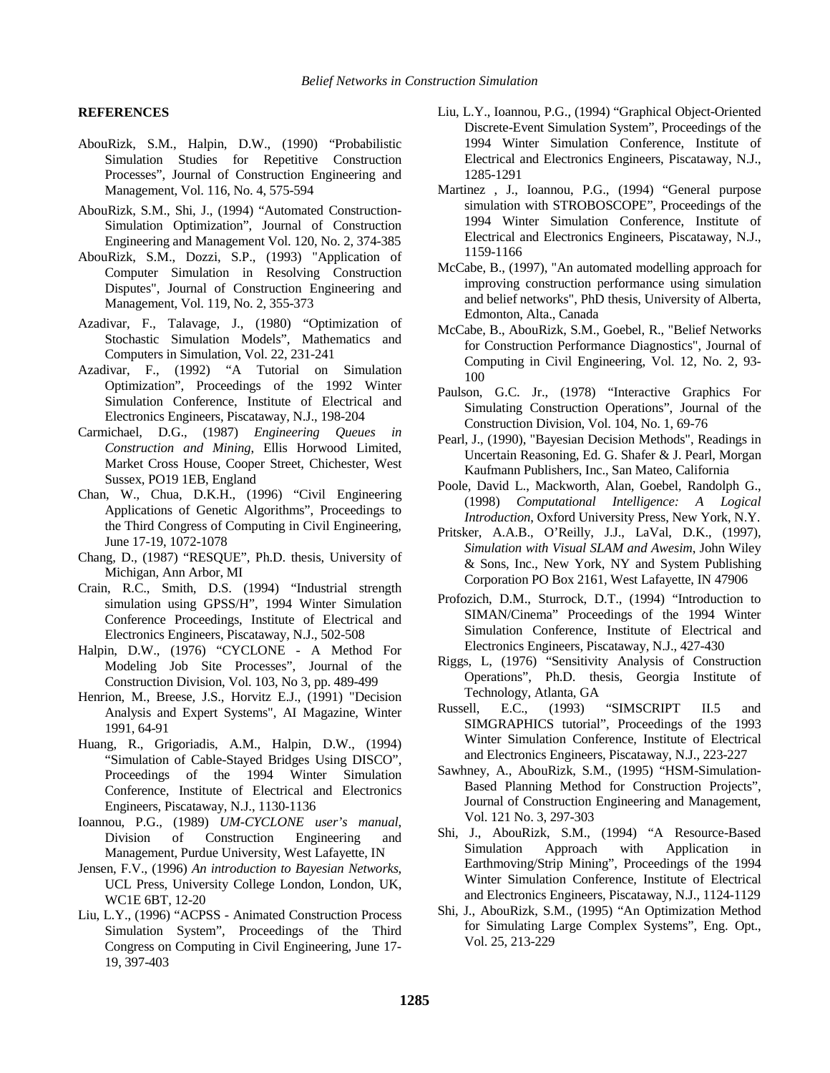#### **REFERENCES**

- AbouRizk, S.M., Halpin, D.W., (1990) "Probabilistic Simulation Studies for Repetitive Construction Processes", Journal of Construction Engineering and Management, Vol. 116, No. 4, 575-594
- AbouRizk, S.M., Shi, J., (1994) "Automated Construction-Simulation Optimization", Journal of Construction Engineering and Management Vol. 120, No. 2, 374-385
- AbouRizk, S.M., Dozzi, S.P., (1993) "Application of Computer Simulation in Resolving Construction Disputes", Journal of Construction Engineering and Management, Vol. 119, No. 2, 355-373
- Azadivar, F., Talavage, J., (1980) "Optimization of Stochastic Simulation Models", Mathematics and Computers in Simulation, Vol. 22, 231-241
- Azadivar, F., (1992) "A Tutorial on Simulation Optimization", Proceedings of the 1992 Winter Simulation Conference, Institute of Electrical and Electronics Engineers, Piscataway, N.J., 198-204
- Carmichael, D.G., (1987) *Engineering Queues in Construction and Mining*, Ellis Horwood Limited, Market Cross House, Cooper Street, Chichester, West Sussex, PO19 1EB, England
- Chan, W., Chua, D.K.H., (1996) "Civil Engineering Applications of Genetic Algorithms", Proceedings to the Third Congress of Computing in Civil Engineering, June 17-19, 1072-1078
- Chang, D., (1987) "RESQUE", Ph.D. thesis, University of Michigan, Ann Arbor, MI
- Crain, R.C., Smith, D.S. (1994) "Industrial strength simulation using GPSS/H", 1994 Winter Simulation Conference Proceedings, Institute of Electrical and Electronics Engineers, Piscataway, N.J., 502-508
- Halpin, D.W., (1976) "CYCLONE A Method For Modeling Job Site Processes", Journal of the Construction Division, Vol. 103, No 3, pp. 489-499
- Henrion, M., Breese, J.S., Horvitz E.J., (1991) "Decision Analysis and Expert Systems", AI Magazine, Winter 1991, 64-91
- Huang, R., Grigoriadis, A.M., Halpin, D.W., (1994) "Simulation of Cable-Stayed Bridges Using DISCO", Proceedings of the 1994 Winter Simulation Conference, Institute of Electrical and Electronics Engineers, Piscataway, N.J., 1130-1136
- Ioannou, P.G., (1989) *UM-CYCLONE user's manual*, Division of Construction Engineering and Management, Purdue University, West Lafayette, IN
- Jensen, F.V., (1996) *An introduction to Bayesian Networks*, UCL Press, University College London, London, UK, WC1E 6BT, 12-20
- Liu, L.Y., (1996) "ACPSS Animated Construction Process Simulation System", Proceedings of the Third Congress on Computing in Civil Engineering, June 17- 19, 397-403
- Liu, L.Y., Ioannou, P.G., (1994) "Graphical Object-Oriented Discrete-Event Simulation System", Proceedings of the 1994 Winter Simulation Conference, Institute of Electrical and Electronics Engineers, Piscataway, N.J., 1285-1291
- Martinez , J., Ioannou, P.G., (1994) "General purpose simulation with STROBOSCOPE", Proceedings of the 1994 Winter Simulation Conference, Institute of Electrical and Electronics Engineers, Piscataway, N.J., 1159-1166
- McCabe, B., (1997), "An automated modelling approach for improving construction performance using simulation and belief networks", PhD thesis, University of Alberta, Edmonton, Alta., Canada
- McCabe, B., AbouRizk, S.M., Goebel, R., "Belief Networks for Construction Performance Diagnostics", Journal of Computing in Civil Engineering, Vol. 12, No. 2, 93- 100
- Paulson, G.C. Jr., (1978) "Interactive Graphics For Simulating Construction Operations", Journal of the Construction Division, Vol. 104, No. 1, 69-76
- Pearl, J., (1990), "Bayesian Decision Methods", Readings in Uncertain Reasoning, Ed. G. Shafer & J. Pearl, Morgan Kaufmann Publishers, Inc., San Mateo, California
- Poole, David L., Mackworth, Alan, Goebel, Randolph G., (1998) *Computational Intelligence: A Logical Introduction*, Oxford University Press, New York, N.Y.
- Pritsker, A.A.B., O'Reilly, J.J., LaVal, D.K., (1997), *Simulation with Visual SLAM and Awesim*, John Wiley & Sons, Inc., New York, NY and System Publishing Corporation PO Box 2161, West Lafayette, IN 47906
- Profozich, D.M., Sturrock, D.T., (1994) "Introduction to SIMAN/Cinema" Proceedings of the 1994 Winter Simulation Conference, Institute of Electrical and Electronics Engineers, Piscataway, N.J., 427-430
- Riggs, L, (1976) "Sensitivity Analysis of Construction Operations", Ph.D. thesis, Georgia Institute of Technology, Atlanta, GA
- Russell, E.C., (1993) "SIMSCRIPT II.5 and SIMGRAPHICS tutorial", Proceedings of the 1993 Winter Simulation Conference, Institute of Electrical and Electronics Engineers, Piscataway, N.J., 223-227
- Sawhney, A., AbouRizk, S.M., (1995) "HSM-Simulation-Based Planning Method for Construction Projects", Journal of Construction Engineering and Management, Vol. 121 No. 3, 297-303
- Shi, J., AbouRizk, S.M., (1994) "A Resource-Based Simulation Approach with Application in Earthmoving/Strip Mining", Proceedings of the 1994 Winter Simulation Conference, Institute of Electrical and Electronics Engineers, Piscataway, N.J., 1124-1129
- Shi, J., AbouRizk, S.M., (1995) "An Optimization Method for Simulating Large Complex Systems", Eng. Opt., Vol. 25, 213-229